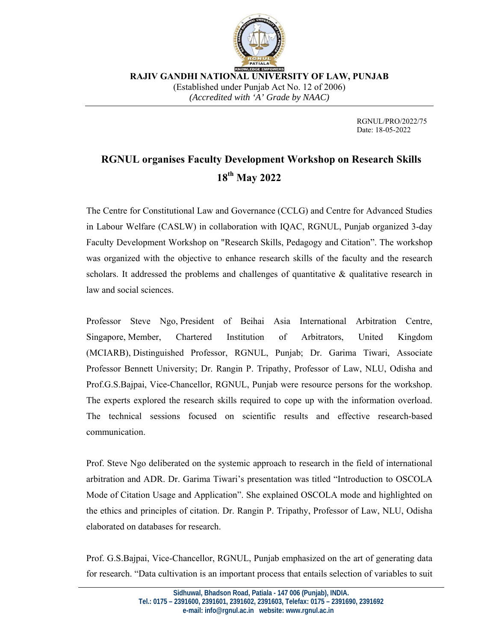

 **RAJIV GANDHI NATIONAL UNIVERSITY OF LAW, PUNJAB**  (Established under Punjab Act No. 12 of 2006) *(Accredited with 'A' Grade by NAAC)* 

> RGNUL/PRO/2022/75 Date: 18-05-2022

## **RGNUL organises Faculty Development Workshop on Research Skills 18th May 2022**

The Centre for Constitutional Law and Governance (CCLG) and Centre for Advanced Studies in Labour Welfare (CASLW) in collaboration with IQAC, RGNUL, Punjab organized 3-day Faculty Development Workshop on "Research Skills, Pedagogy and Citation". The workshop was organized with the objective to enhance research skills of the faculty and the research scholars. It addressed the problems and challenges of quantitative  $\&$  qualitative research in law and social sciences.

Professor Steve Ngo, President of Beihai Asia International Arbitration Centre, Singapore, Member, Chartered Institution of Arbitrators, United Kingdom (MCIARB), Distinguished Professor, RGNUL, Punjab; Dr. Garima Tiwari, Associate Professor Bennett University; Dr. Rangin P. Tripathy, Professor of Law, NLU, Odisha and Prof.G.S.Bajpai, Vice-Chancellor, RGNUL, Punjab were resource persons for the workshop. The experts explored the research skills required to cope up with the information overload. The technical sessions focused on scientific results and effective research-based communication.

Prof. Steve Ngo deliberated on the systemic approach to research in the field of international arbitration and ADR. Dr. Garima Tiwari's presentation was titled "Introduction to OSCOLA Mode of Citation Usage and Application". She explained OSCOLA mode and highlighted on the ethics and principles of citation. Dr. Rangin P. Tripathy, Professor of Law, NLU, Odisha elaborated on databases for research.

Prof. G.S.Bajpai, Vice-Chancellor, RGNUL, Punjab emphasized on the art of generating data for research. "Data cultivation is an important process that entails selection of variables to suit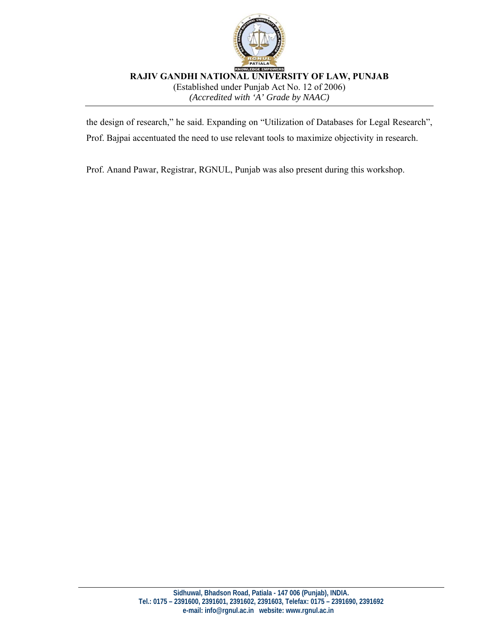

 **RAJIV GANDHI NATIONAL UNIVERSITY OF LAW, PUNJAB**  (Established under Punjab Act No. 12 of 2006) *(Accredited with 'A' Grade by NAAC)* 

the design of research," he said. Expanding on "Utilization of Databases for Legal Research", Prof. Bajpai accentuated the need to use relevant tools to maximize objectivity in research.

Prof. Anand Pawar, Registrar, RGNUL, Punjab was also present during this workshop.